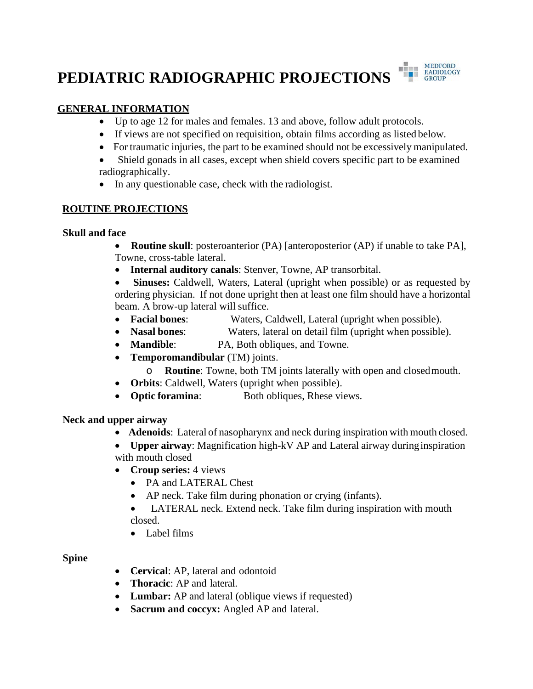# **PEDIATRIC RADIOGRAPHIC PROJECTIONS**



## **GENERAL INFORMATION**

- Up to age 12 for males and females. 13 and above, follow adult protocols.
- If views are not specified on requisition, obtain films according as listed below.
- For traumatic injuries, the part to be examined should not be excessively manipulated.
- Shield gonads in all cases, except when shield covers specific part to be examined radiographically.
- In any questionable case, check with the radiologist.

## **ROUTINE PROJECTIONS**

### **Skull and face**

• **Routine skull**: posteroanterior (PA) [anteroposterior (AP) if unable to take PA], Towne, cross-table lateral.

• **Internal auditory canals**: Stenver, Towne, AP transorbital.

• **Sinuses:** Caldwell, Waters, Lateral (upright when possible) or as requested by ordering physician. If not done upright then at least one film should have a horizontal beam. A brow-up lateral will suffice.

- **Facial bones**: Waters, Caldwell, Lateral (upright when possible).
- **Nasal bones:** Waters, lateral on detail film (upright when possible).
- **Mandible**: PA, Both obliques, and Towne.
- **Temporomandibular** (TM) joints.
	- o **Routine**: Towne, both TM joints laterally with open and closedmouth.
- **Orbits**: Caldwell, Waters (upright when possible).
- **Optic foramina**: Both obliques, Rhese views.

## **Neck and upper airway**

- **Adenoids**: Lateral of nasopharynx and neck during inspiration with mouth closed.
- **Upper airway**: Magnification high-kV AP and Lateral airway duringinspiration with mouth closed
- **Croup series:** 4 views
	- PA and LATERAL Chest
	- AP neck. Take film during phonation or crying (infants).
	- LATERAL neck. Extend neck. Take film during inspiration with mouth closed.
	- Label films

# **Spine**

- **Cervical**: AP, lateral and odontoid
- **Thoracic**: AP and lateral.
- **Lumbar:** AP and lateral (oblique views if requested)
- **Sacrum and coccyx:** Angled AP and lateral.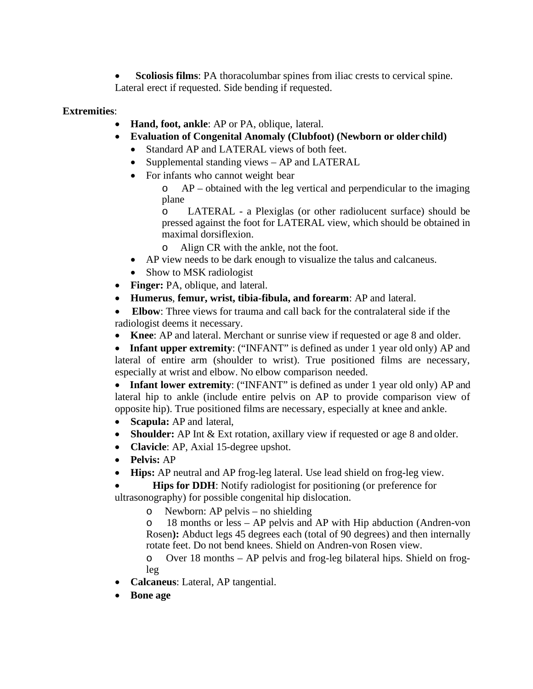• **Scoliosis films**: PA thoracolumbar spines from iliac crests to cervical spine. Lateral erect if requested. Side bending if requested.

#### **Extremities**:

- **Hand, foot, ankle**: AP or PA, oblique, lateral.
- **Evaluation of Congenital Anomaly (Clubfoot) (Newborn or older child)**
	- Standard AP and LATERAL views of both feet.
	- Supplemental standing views AP and LATERAL
	- For infants who cannot weight bear

o AP – obtained with the leg vertical and perpendicular to the imaging plane

o LATERAL - a Plexiglas (or other radiolucent surface) should be pressed against the foot for LATERAL view, which should be obtained in maximal dorsiflexion.

- o Align CR with the ankle, not the foot.
- AP view needs to be dark enough to visualize the talus and calcaneus.
- Show to MSK radiologist
- **Finger:** PA, oblique, and lateral.
- **Humerus**, **femur, wrist, tibia-fibula, and forearm**: AP and lateral.

• **Elbow**: Three views for trauma and call back for the contralateral side if the radiologist deems it necessary.

• **Knee**: AP and lateral. Merchant or sunrise view if requested or age 8 and older.

• **Infant upper extremity**: ("INFANT" is defined as under 1 year old only) AP and lateral of entire arm (shoulder to wrist). True positioned films are necessary, especially at wrist and elbow. No elbow comparison needed.

• **Infant lower extremity**: ("INFANT" is defined as under 1 year old only) AP and lateral hip to ankle (include entire pelvis on AP to provide comparison view of opposite hip). True positioned films are necessary, especially at knee and ankle.

- **Scapula:** AP and lateral,
- **Shoulder:** AP Int & Ext rotation, axillary view if requested or age 8 and older.
- **Clavicle**: AP, Axial 15-degree upshot.
- **Pelvis:** AP
- **Hips:** AP neutral and AP frog-leg lateral. Use lead shield on frog-leg view.

**Hips for DDH**: Notify radiologist for positioning (or preference for ultrasonography) for possible congenital hip dislocation.

o Newborn: AP pelvis – no shielding

o 18 months or less – AP pelvis and AP with Hip abduction (Andren-von Rosen**):** Abduct legs 45 degrees each (total of 90 degrees) and then internally rotate feet. Do not bend knees. Shield on Andren-von Rosen view.

o Over 18 months – AP pelvis and frog-leg bilateral hips. Shield on frogleg

- **Calcaneus**: Lateral, AP tangential.
- **Bone age**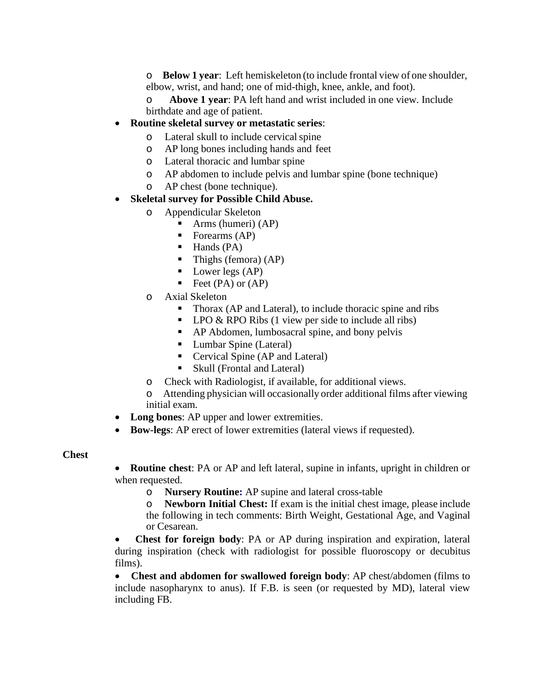o **Below 1 year**: Left hemiskeleton (to include frontal view of one shoulder, elbow, wrist, and hand; one of mid-thigh, knee, ankle, and foot).

o **Above 1 year**: PA left hand and wrist included in one view. Include birthdate and age of patient.

### • **Routine skeletal survey or metastatic series**:

- o Lateral skull to include cervicalspine
- o AP long bones including hands and feet
- o Lateral thoracic and lumbar spine
- o AP abdomen to include pelvis and lumbar spine (bone technique)
- o AP chest (bone technique).

#### • **Skeletal survey for Possible Child Abuse.**

- o Appendicular Skeleton
	- Arms (humeri) (AP)
	- Forearms (AP)
	- $\blacksquare$  Hands (PA)
	- $\blacksquare$  Thighs (femora) (AP)
	- $\blacksquare$  Lower legs (AP)
	- Feet  $(PA)$  or  $(AP)$
- o Axial Skeleton
	- Thorax (AP and Lateral), to include thoracic spine and ribs
	- $\blacksquare$  LPO & RPO Ribs (1 view per side to include all ribs)
	- AP Abdomen, lumbosacral spine, and bony pelvis
	- **Lumbar Spine (Lateral)**
	- Cervical Spine (AP and Lateral)
	- Skull (Frontal and Lateral)
- o Check with Radiologist, if available, for additional views.
- o Attending physician will occasionally order additional films after viewing initial exam.
- **Long bones**: AP upper and lower extremities.
- **Bow-legs**: AP erect of lower extremities (lateral views if requested).

#### **Chest**

- **Routine chest**: PA or AP and left lateral, supine in infants, upright in children or when requested.
	- o **Nursery Routine:** AP supine and lateral cross-table

o **Newborn Initial Chest:** If exam is the initial chest image, please include the following in tech comments: Birth Weight, Gestational Age, and Vaginal or Cesarean.

• **Chest for foreign body**: PA or AP during inspiration and expiration, lateral during inspiration (check with radiologist for possible fluoroscopy or decubitus films).

• **Chest and abdomen for swallowed foreign body**: AP chest/abdomen (films to include nasopharynx to anus). If F.B. is seen (or requested by MD), lateral view including FB.